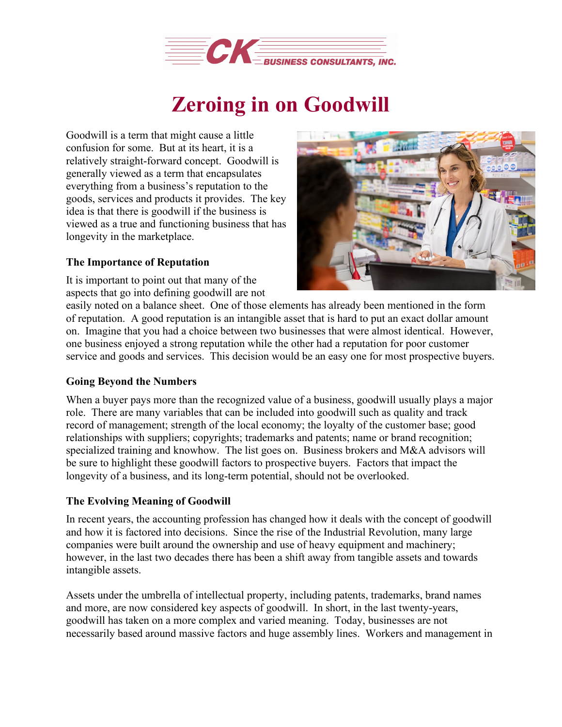

## **Zeroing in on Goodwill**

Goodwill is a term that might cause a little confusion for some. But at its heart, it is a relatively straight-forward concept. Goodwill is generally viewed as a term that encapsulates everything from a business's reputation to the goods, services and products it provides. The key idea is that there is goodwill if the business is viewed as a true and functioning business that has longevity in the marketplace.

## **The Importance of Reputation**

It is important to point out that many of the aspects that go into defining goodwill are not



easily noted on a balance sheet. One of those elements has already been mentioned in the form of reputation. A good reputation is an intangible asset that is hard to put an exact dollar amount on. Imagine that you had a choice between two businesses that were almost identical. However, one business enjoyed a strong reputation while the other had a reputation for poor customer service and goods and services. This decision would be an easy one for most prospective buyers.

## **Going Beyond the Numbers**

When a buyer pays more than the recognized value of a business, goodwill usually plays a major role. There are many variables that can be included into goodwill such as quality and track record of management; strength of the local economy; the loyalty of the customer base; good relationships with suppliers; copyrights; trademarks and patents; name or brand recognition; specialized training and knowhow. The list goes on. Business brokers and M&A advisors will be sure to highlight these goodwill factors to prospective buyers. Factors that impact the longevity of a business, and its long-term potential, should not be overlooked.

## **The Evolving Meaning of Goodwill**

In recent years, the accounting profession has changed how it deals with the concept of goodwill and how it is factored into decisions. Since the rise of the Industrial Revolution, many large companies were built around the ownership and use of heavy equipment and machinery; however, in the last two decades there has been a shift away from tangible assets and towards intangible assets.

Assets under the umbrella of intellectual property, including patents, trademarks, brand names and more, are now considered key aspects of goodwill. In short, in the last twenty-years, goodwill has taken on a more complex and varied meaning. Today, businesses are not necessarily based around massive factors and huge assembly lines. Workers and management in